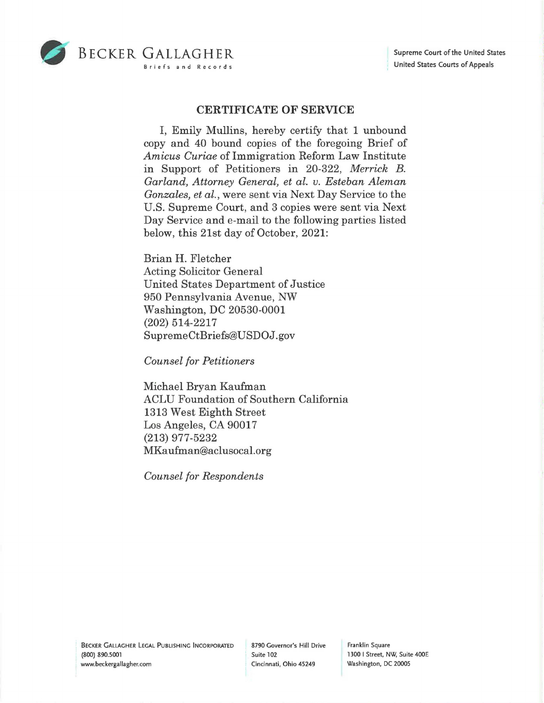

## **CERTIFICATE OF SERVICE**

I, Emily Mullins, hereby certify that 1 unbound copy and 40 bound copies of the foregoing Brief of *Amicus Curiae* of Immigration Reform Law Institute in Support of Petitioners in 20-322, *Merrick B. Garland, Attorney General, et al. v. Esteban Aleman Gonzales, et al.,* were sent via Next Day Service to the U.S. Supreme Court, and 3 copies were sent via Next Day Service and e-mail to the following parties listed below, this 21st day of October, 2021:

Brian H. Fletcher Acting Solicitor General United States Department of Justice 950 Pennsylvania Avenue, NW Washington, DC 20530-0001 (202) 514-2217 SupremeCtBriefs@USDOJ.gov

*Counsel for Petitioners* 

Michael Bryan Kaufman ACLU Foundation of Southern California 1313 West Eighth Street Los Angeles, CA 90017 (213) 977-5232 MKa ufman@aclusocal.org

*Counsel for Respondents* 

Franklin Square 1300 I Street, NW, Suite 400E Washington, DC 20005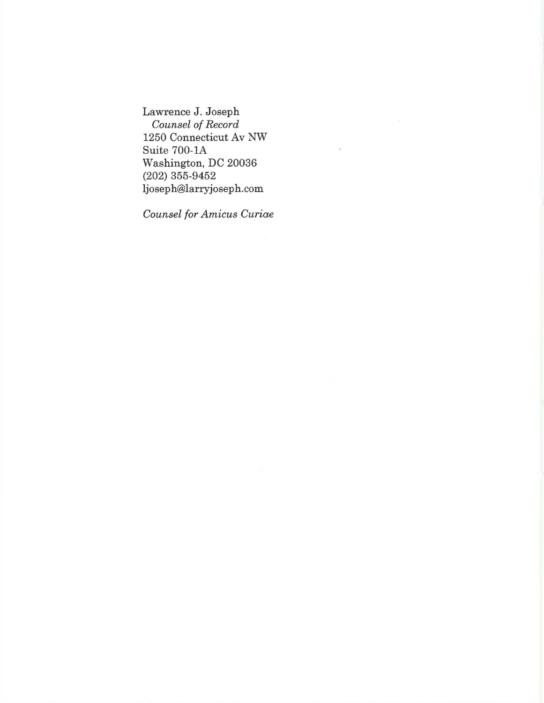Lawrence J. Joseph *Counsel of Record*  1250 Connecticut Av NW Suite 700-lA Washington, DC 20036 (202) 355-9452 ljoseph@larryjoseph.com

*Counsel for Amicus Curiae*